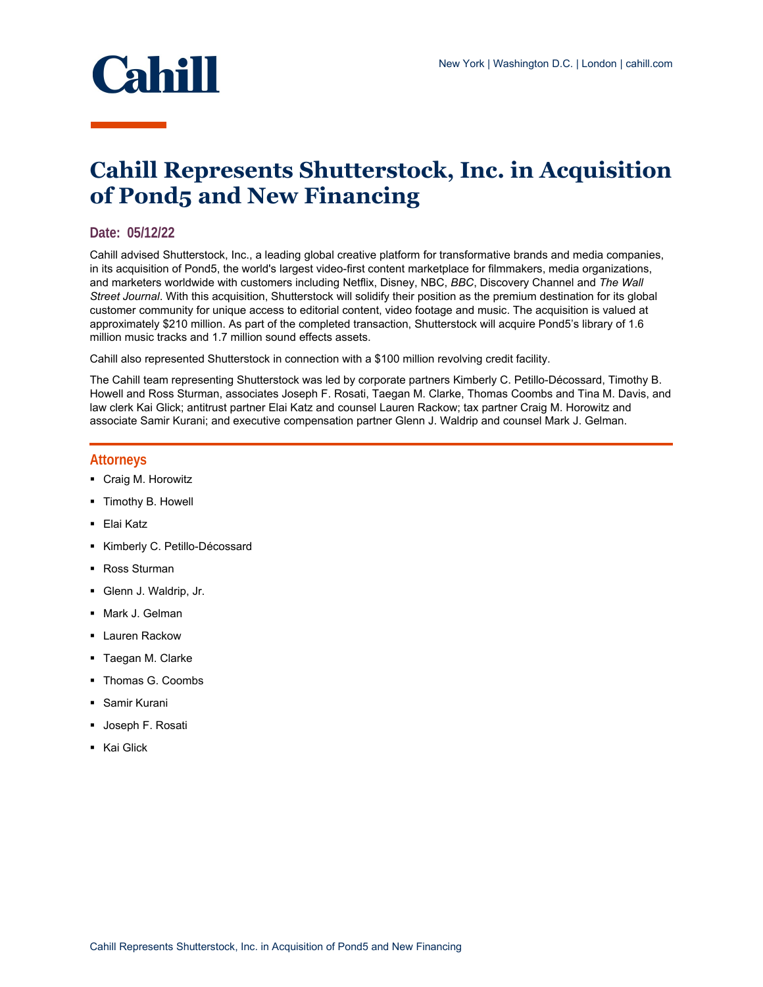

## **Cahill Represents Shutterstock, Inc. in Acquisition of Pond5 and New Financing**

## **Date: 05/12/22**

Cahill advised Shutterstock, Inc., a leading global creative platform for transformative brands and media companies, in its acquisition of Pond5, the world's largest video-first content marketplace for filmmakers, media organizations, and marketers worldwide with customers including Netflix, Disney, NBC, *BBC*, Discovery Channel and *The Wall Street Journal*. With this acquisition, Shutterstock will solidify their position as the premium destination for its global customer community for unique access to editorial content, video footage and music. The acquisition is valued at approximately \$210 million. As part of the completed transaction, Shutterstock will acquire Pond5's library of 1.6 million music tracks and 1.7 million sound effects assets.

Cahill also represented Shutterstock in connection with a \$100 million revolving credit facility.

The Cahill team representing Shutterstock was led by corporate partners Kimberly C. Petillo-Décossard, Timothy B. Howell and Ross Sturman, associates Joseph F. Rosati, Taegan M. Clarke, Thomas Coombs and Tina M. Davis, and law clerk Kai Glick; antitrust partner Elai Katz and counsel Lauren Rackow; tax partner Craig M. Horowitz and associate Samir Kurani; and executive compensation partner Glenn J. Waldrip and counsel Mark J. Gelman.

## **Attorneys**

- **Craig M. Horowitz**
- **Timothy B. Howell**
- Elai Katz
- Kimberly C. Petillo-Décossard
- Ross Sturman
- Glenn J. Waldrip, Jr.
- Mark J. Gelman
- **Lauren Rackow**
- **Taegan M. Clarke**
- Thomas G. Coombs
- Samir Kurani
- **Joseph F. Rosati**
- **Kai Glick**